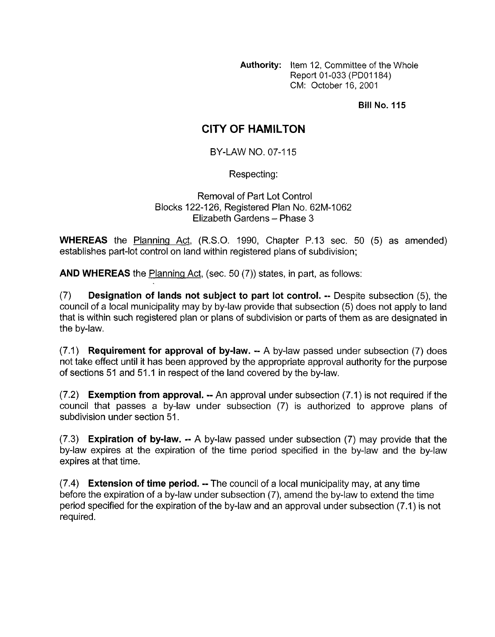**Authority:** Item 12, Committee of the Whole Report 01 -033 (PDOl184) CM: October 16, 2001

**Bill No. 115** 

## **CITY OF HAMILTON**

BY-LAW NO. **07-1 15** 

Respecting:

Removal of Part Lot Control Blocks **122-1 26,** Registered Plan No. **62M-1062**  Elizabeth Gardens - Phase 3

**WHEREAS** the Planning Act, (R.S.O. **1990,** Chapter P.13 sec. 50 (5) as amended) establishes part-lot control on land within registered plans of subdivision;

**AND WHEREAS** the Planning Act, (sec. 50 (7)) states, in part, as follows:

(7) **Designation of lands not subject to part lot control.** -- Despite subsection *(5),* the council of a local municipality may by by-law provide that subsection (5) does not apply to land that is within such registered plan or plans of subdivision or parts of them as are designated in the by-law.

(7.1) **Requirement for approval of by-law.** -- A by-law passed under subsection (7) does not take effect until it has been approved by the appropriate approval authority for the purpose of sections 51 and **51** .I in respect of the land covered by the by-law.

(7.2) **Exemption from approval.** -- An approval under subsection (7.1) is not required if the council that passes a by-law under subsection (7) is authorized to approve plans of subdivision under section **51.** 

**(7.3) Expiration of by-law.** -- A by-law passed under subsection (7) may provide that the by-law expires at the expiration of the time period specified in the by-law and the by-law expires at that time.

(7.4) **Extension of time period.** -- The council of a local municipality may, at any time before the expiration of a by-law under subsection *(7),* amend the by-law to extend the time period specified for the expiration of the by-law and an approval under subsection (7.1) is not required.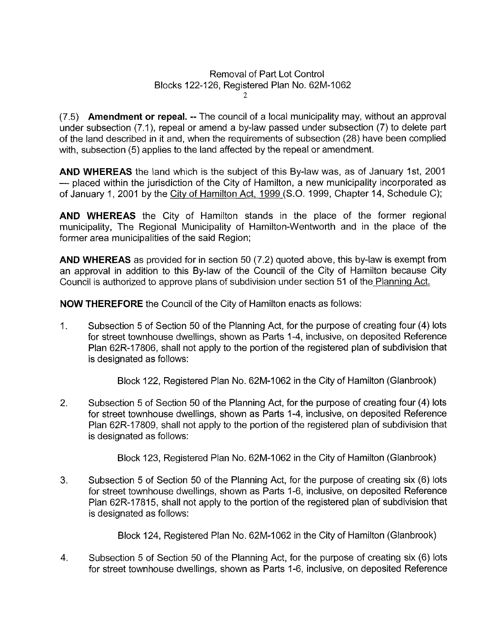## Removal of Part Lot Control Blocks 122-126, Registered Plan No. 62M-1062  $\gamma$

(7.5) **Amendment or repeal.** -- The council of a local municipality may, without an approval under subsection (7.1), repeal or amend a by-law passed under subsection (7) to delete part of the land described in it and, when the requirements of subsection (28) have been complied with, subsection (5) applies to the land affected by the repeal or amendment.

**AND WHEREAS** the land which is the subject of this By-law was, as of January Ist, 2001 - placed within the jurisdiction of the City of Hamilton, a new municipality incorporated as of January 1, 2001 by the City of Hamilton Act, 1999 (S.O. 1999, Chapter 14, Schedule C);

**AND WHEREAS** the City of Hamilton stands in the place of the former regional municipality, The Regional Municipality of Hamilton-Wentworth and in the place of the former area municipalities of the said Region;

**AND WHEREAS** as provided for in section 50 (7.2) quoted above, this by-law is exempt from an approval in addition to this By-law of the Council of the City of Hamilton because City Council is authorized to approve plans of subdivision under section 51 of the Planninq Act.

**NOW THEREFORE** the Council of the City of Hamilton enacts as follows:

1. Subsection 5 of Section 50 of the Planning Act, for the purpose of creating four **(4)** lots for street townhouse dwellings, shown as Parts 1-4, inclusive, on deposited Reference Plan 62R-17806, shall not apply to the portion of the registered plan of subdivision that is designated as follows:

Block 122, Registered Plan No. 62M-1062 in the City of Hamilton (Glanbrook)

2. Subsection 5 of Section 50 of the Planning Act, for the purpose of creating four (4) lots for street townhouse dwellings, shown as Parts 1-4, inclusive, on deposited Reference Plan 62R-17809, shall not apply to the portion of the registered plan of subdivision that is designated as follows:

Block 123, Registered Plan No. 62M-1062 in the City of Hamilton (Glanbrook)

**3.**  Subsection 5 of Section 50 of the Planning Act, for the purpose of creating six (6) lots for street townhouse dwellings, shown as Parts 1-6, inclusive, on deposited Reference Plan 62R-17815, shall not apply to the portion of the registered plan of subdivision that is designated as follows:

Block 124, Registered Plan No. 62M-1062 in the City of Hamilton (Glanbrook)

4. Subsection 5 of Section 50 of the Planning Act, for the purpose of creating six (6) lots for street townhouse dwellings, shown as Parts 1-6, inclusive, on deposited Reference